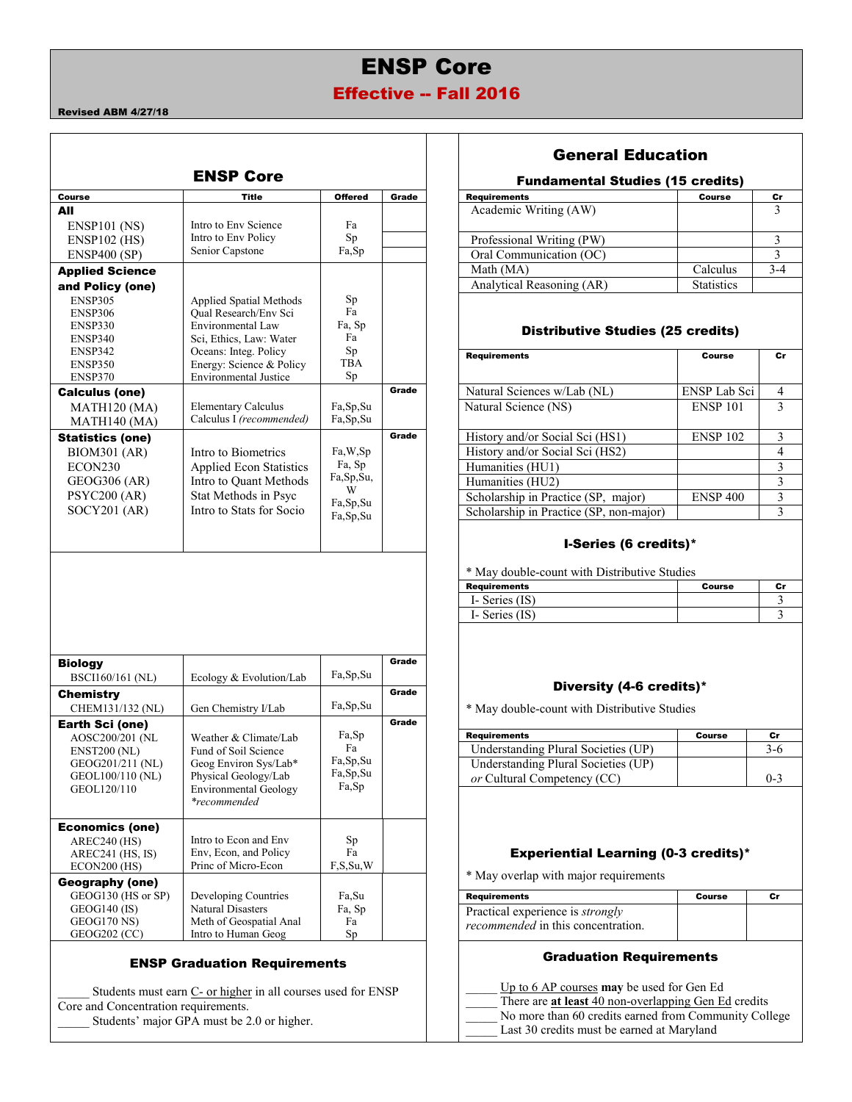# ENSP Core

# Effective -- Fall 2016

#### Revised ABM 4/27/18

| <b>ENSP Core</b><br><b>Fundamental Studies (15 credits)</b><br><b>Title</b><br><b>Requirements</b><br><b>Course</b><br><b>Offered</b><br>Grade<br><b>Course</b><br>Cı<br>Academic Writing (AW)<br>3<br>All<br>Intro to Env Science<br>$ENSP101$ (NS)<br>Fa<br>Intro to Env Policy<br>Sp<br>$\mathfrak{Z}$<br>Professional Writing (PW)<br>$ENSP102$ (HS)<br>Senior Capstone<br>Fa,Sp<br>$\overline{3}$<br>Oral Communication (OC)<br><b>ENSP400 (SP)</b><br>Math (MA)<br>$3 - 4$<br>Calculus<br><b>Applied Science</b><br>Analytical Reasoning (AR)<br><b>Statistics</b><br>and Policy (one)<br>Sp<br><b>ENSP305</b><br>Applied Spatial Methods<br>Fa<br><b>Oual Research/Env Sci</b><br><b>ENSP306</b><br>Fa, Sp<br>Environmental Law<br>ENSP330<br><b>Distributive Studies (25 credits)</b><br>Fa<br>Sci, Ethics, Law: Water<br>ENSP340<br>Sp<br>ENSP342<br>Oceans: Integ. Policy<br><b>Requirements</b><br><b>Course</b><br>TBA<br>Energy: Science & Policy<br>ENSP350<br><b>Environmental Justice</b><br>Sp<br>ENSP370<br>ENSP Lab Sci<br>Grade<br>Natural Sciences w/Lab (NL)<br><b>Calculus (one)</b><br>Natural Science (NS)<br>ENSP <sub>101</sub><br><b>Elementary Calculus</b><br>Fa, Sp, Su<br>MATH120 (MA)<br>Calculus I (recommended)<br>Fa,Sp,Su<br>MATH140 (MA)<br>$\overline{a}$<br>History and/or Social Sci (HS1)<br><b>ENSP 102</b><br>Grade<br><b>Statistics (one)</b><br>$\overline{4}$<br>History and/or Social Sci (HS2)<br>Intro to Biometrics<br>Fa, W, Sp<br><b>BIOM301 (AR)</b><br>Fa, Sp<br>Humanities (HU1)<br>ECON <sub>230</sub><br><b>Applied Econ Statistics</b><br>Fa,Sp,Su,<br>Intro to Quant Methods<br>GEOG306 (AR)<br>Humanities (HU2)<br>W<br>Stat Methods in Psyc<br>$\overline{a}$<br><b>PSYC200 (AR)</b><br><b>ENSP 400</b><br>Scholarship in Practice (SP, major)<br>Fa, Sp, Su<br>Intro to Stats for Socio<br>SOCY201 (AR)<br>Scholarship in Practice (SP, non-major)<br>Fa,Sp,Su<br>I-Series (6 credits)*<br>* May double-count with Distributive Studies<br><b>Requirements</b><br><b>Course</b><br>I- Series (IS)<br>I- Series (IS)<br>Grade<br><b>Biology</b><br>Fa, Sp, Su<br>Ecology & Evolution/Lab<br><b>BSCI160/161 (NL)</b><br>Diversity (4-6 credits)*<br>Grade<br><b>Chemistry</b><br>Fa, Sp, Su<br>Gen Chemistry I/Lab<br>CHEM131/132 (NL)<br>* May double-count with Distributive Studies<br>Grade<br><b>Earth Sci (one)</b><br>Fa,Sp<br><b>Requirements</b><br><b>Course</b><br>Cr<br>AOSC200/201 (NL<br>Weather & Climate/Lab<br>Fa<br>Understanding Plural Societies (UP)<br>$3-6$<br><b>ENST200 (NL)</b><br>Fund of Soil Science<br>Fa, Sp, Su<br>GEOG201/211 (NL)<br>Geog Environ Sys/Lab*<br>Understanding Plural Societies (UP)<br>Fa,Sp,Su<br>Physical Geology/Lab<br>GEOL100/110 (NL)<br>or Cultural Competency (CC)<br>$0 - 3$<br>Fa,Sp<br>GEOL120/110<br><b>Environmental Geology</b><br><i>*recommended</i><br><b>Economics (one)</b><br>Intro to Econ and Env<br>AREC240 (HS)<br>Sp<br>Env, Econ, and Policy<br>Fa<br><b>Experiential Learning (0-3 credits)*</b><br>AREC241 (HS, IS)<br>Princ of Micro-Econ<br>F, S, Su, W<br>$ECON200$ (HS)<br>* May overlap with major requirements<br><b>Geography (one)</b><br>GEOG130 (HS or SP)<br>Developing Countries<br>Fa,Su<br><b>Requirements</b><br>Course<br>Cr<br><b>Natural Disasters</b><br>$GEOG140$ (IS)<br>Fa, Sp<br>Practical experience is strongly<br>GEOG170 NS)<br>Meth of Geospatial Anal<br>Fa<br>recommended in this concentration.<br>GEOG202 (CC)<br>Intro to Human Geog<br>Sp |  |  | <b>General Education</b> |                |
|----------------------------------------------------------------------------------------------------------------------------------------------------------------------------------------------------------------------------------------------------------------------------------------------------------------------------------------------------------------------------------------------------------------------------------------------------------------------------------------------------------------------------------------------------------------------------------------------------------------------------------------------------------------------------------------------------------------------------------------------------------------------------------------------------------------------------------------------------------------------------------------------------------------------------------------------------------------------------------------------------------------------------------------------------------------------------------------------------------------------------------------------------------------------------------------------------------------------------------------------------------------------------------------------------------------------------------------------------------------------------------------------------------------------------------------------------------------------------------------------------------------------------------------------------------------------------------------------------------------------------------------------------------------------------------------------------------------------------------------------------------------------------------------------------------------------------------------------------------------------------------------------------------------------------------------------------------------------------------------------------------------------------------------------------------------------------------------------------------------------------------------------------------------------------------------------------------------------------------------------------------------------------------------------------------------------------------------------------------------------------------------------------------------------------------------------------------------------------------------------------------------------------------------------------------------------------------------------------------------------------------------------------------------------------------------------------------------------------------------------------------------------------------------------------------------------------------------------------------------------------------------------------------------------------------------------------------------------------------------------------------------------------------------------------------------------------------------------------------------------------------------------------------------------------------------------------------------------------------------------------------------------------------------------------------------------------------------------------------------------------------------------------------------------------------------------------------------------------------------------------------------------|--|--|--------------------------|----------------|
|                                                                                                                                                                                                                                                                                                                                                                                                                                                                                                                                                                                                                                                                                                                                                                                                                                                                                                                                                                                                                                                                                                                                                                                                                                                                                                                                                                                                                                                                                                                                                                                                                                                                                                                                                                                                                                                                                                                                                                                                                                                                                                                                                                                                                                                                                                                                                                                                                                                                                                                                                                                                                                                                                                                                                                                                                                                                                                                                                                                                                                                                                                                                                                                                                                                                                                                                                                                                                                                                                                                      |  |  |                          |                |
|                                                                                                                                                                                                                                                                                                                                                                                                                                                                                                                                                                                                                                                                                                                                                                                                                                                                                                                                                                                                                                                                                                                                                                                                                                                                                                                                                                                                                                                                                                                                                                                                                                                                                                                                                                                                                                                                                                                                                                                                                                                                                                                                                                                                                                                                                                                                                                                                                                                                                                                                                                                                                                                                                                                                                                                                                                                                                                                                                                                                                                                                                                                                                                                                                                                                                                                                                                                                                                                                                                                      |  |  |                          |                |
|                                                                                                                                                                                                                                                                                                                                                                                                                                                                                                                                                                                                                                                                                                                                                                                                                                                                                                                                                                                                                                                                                                                                                                                                                                                                                                                                                                                                                                                                                                                                                                                                                                                                                                                                                                                                                                                                                                                                                                                                                                                                                                                                                                                                                                                                                                                                                                                                                                                                                                                                                                                                                                                                                                                                                                                                                                                                                                                                                                                                                                                                                                                                                                                                                                                                                                                                                                                                                                                                                                                      |  |  |                          |                |
|                                                                                                                                                                                                                                                                                                                                                                                                                                                                                                                                                                                                                                                                                                                                                                                                                                                                                                                                                                                                                                                                                                                                                                                                                                                                                                                                                                                                                                                                                                                                                                                                                                                                                                                                                                                                                                                                                                                                                                                                                                                                                                                                                                                                                                                                                                                                                                                                                                                                                                                                                                                                                                                                                                                                                                                                                                                                                                                                                                                                                                                                                                                                                                                                                                                                                                                                                                                                                                                                                                                      |  |  |                          |                |
|                                                                                                                                                                                                                                                                                                                                                                                                                                                                                                                                                                                                                                                                                                                                                                                                                                                                                                                                                                                                                                                                                                                                                                                                                                                                                                                                                                                                                                                                                                                                                                                                                                                                                                                                                                                                                                                                                                                                                                                                                                                                                                                                                                                                                                                                                                                                                                                                                                                                                                                                                                                                                                                                                                                                                                                                                                                                                                                                                                                                                                                                                                                                                                                                                                                                                                                                                                                                                                                                                                                      |  |  |                          |                |
|                                                                                                                                                                                                                                                                                                                                                                                                                                                                                                                                                                                                                                                                                                                                                                                                                                                                                                                                                                                                                                                                                                                                                                                                                                                                                                                                                                                                                                                                                                                                                                                                                                                                                                                                                                                                                                                                                                                                                                                                                                                                                                                                                                                                                                                                                                                                                                                                                                                                                                                                                                                                                                                                                                                                                                                                                                                                                                                                                                                                                                                                                                                                                                                                                                                                                                                                                                                                                                                                                                                      |  |  |                          |                |
|                                                                                                                                                                                                                                                                                                                                                                                                                                                                                                                                                                                                                                                                                                                                                                                                                                                                                                                                                                                                                                                                                                                                                                                                                                                                                                                                                                                                                                                                                                                                                                                                                                                                                                                                                                                                                                                                                                                                                                                                                                                                                                                                                                                                                                                                                                                                                                                                                                                                                                                                                                                                                                                                                                                                                                                                                                                                                                                                                                                                                                                                                                                                                                                                                                                                                                                                                                                                                                                                                                                      |  |  |                          |                |
|                                                                                                                                                                                                                                                                                                                                                                                                                                                                                                                                                                                                                                                                                                                                                                                                                                                                                                                                                                                                                                                                                                                                                                                                                                                                                                                                                                                                                                                                                                                                                                                                                                                                                                                                                                                                                                                                                                                                                                                                                                                                                                                                                                                                                                                                                                                                                                                                                                                                                                                                                                                                                                                                                                                                                                                                                                                                                                                                                                                                                                                                                                                                                                                                                                                                                                                                                                                                                                                                                                                      |  |  |                          |                |
|                                                                                                                                                                                                                                                                                                                                                                                                                                                                                                                                                                                                                                                                                                                                                                                                                                                                                                                                                                                                                                                                                                                                                                                                                                                                                                                                                                                                                                                                                                                                                                                                                                                                                                                                                                                                                                                                                                                                                                                                                                                                                                                                                                                                                                                                                                                                                                                                                                                                                                                                                                                                                                                                                                                                                                                                                                                                                                                                                                                                                                                                                                                                                                                                                                                                                                                                                                                                                                                                                                                      |  |  |                          |                |
|                                                                                                                                                                                                                                                                                                                                                                                                                                                                                                                                                                                                                                                                                                                                                                                                                                                                                                                                                                                                                                                                                                                                                                                                                                                                                                                                                                                                                                                                                                                                                                                                                                                                                                                                                                                                                                                                                                                                                                                                                                                                                                                                                                                                                                                                                                                                                                                                                                                                                                                                                                                                                                                                                                                                                                                                                                                                                                                                                                                                                                                                                                                                                                                                                                                                                                                                                                                                                                                                                                                      |  |  |                          |                |
|                                                                                                                                                                                                                                                                                                                                                                                                                                                                                                                                                                                                                                                                                                                                                                                                                                                                                                                                                                                                                                                                                                                                                                                                                                                                                                                                                                                                                                                                                                                                                                                                                                                                                                                                                                                                                                                                                                                                                                                                                                                                                                                                                                                                                                                                                                                                                                                                                                                                                                                                                                                                                                                                                                                                                                                                                                                                                                                                                                                                                                                                                                                                                                                                                                                                                                                                                                                                                                                                                                                      |  |  |                          | c              |
|                                                                                                                                                                                                                                                                                                                                                                                                                                                                                                                                                                                                                                                                                                                                                                                                                                                                                                                                                                                                                                                                                                                                                                                                                                                                                                                                                                                                                                                                                                                                                                                                                                                                                                                                                                                                                                                                                                                                                                                                                                                                                                                                                                                                                                                                                                                                                                                                                                                                                                                                                                                                                                                                                                                                                                                                                                                                                                                                                                                                                                                                                                                                                                                                                                                                                                                                                                                                                                                                                                                      |  |  |                          |                |
|                                                                                                                                                                                                                                                                                                                                                                                                                                                                                                                                                                                                                                                                                                                                                                                                                                                                                                                                                                                                                                                                                                                                                                                                                                                                                                                                                                                                                                                                                                                                                                                                                                                                                                                                                                                                                                                                                                                                                                                                                                                                                                                                                                                                                                                                                                                                                                                                                                                                                                                                                                                                                                                                                                                                                                                                                                                                                                                                                                                                                                                                                                                                                                                                                                                                                                                                                                                                                                                                                                                      |  |  |                          | $\overline{4}$ |
|                                                                                                                                                                                                                                                                                                                                                                                                                                                                                                                                                                                                                                                                                                                                                                                                                                                                                                                                                                                                                                                                                                                                                                                                                                                                                                                                                                                                                                                                                                                                                                                                                                                                                                                                                                                                                                                                                                                                                                                                                                                                                                                                                                                                                                                                                                                                                                                                                                                                                                                                                                                                                                                                                                                                                                                                                                                                                                                                                                                                                                                                                                                                                                                                                                                                                                                                                                                                                                                                                                                      |  |  |                          | 3              |
|                                                                                                                                                                                                                                                                                                                                                                                                                                                                                                                                                                                                                                                                                                                                                                                                                                                                                                                                                                                                                                                                                                                                                                                                                                                                                                                                                                                                                                                                                                                                                                                                                                                                                                                                                                                                                                                                                                                                                                                                                                                                                                                                                                                                                                                                                                                                                                                                                                                                                                                                                                                                                                                                                                                                                                                                                                                                                                                                                                                                                                                                                                                                                                                                                                                                                                                                                                                                                                                                                                                      |  |  |                          |                |
|                                                                                                                                                                                                                                                                                                                                                                                                                                                                                                                                                                                                                                                                                                                                                                                                                                                                                                                                                                                                                                                                                                                                                                                                                                                                                                                                                                                                                                                                                                                                                                                                                                                                                                                                                                                                                                                                                                                                                                                                                                                                                                                                                                                                                                                                                                                                                                                                                                                                                                                                                                                                                                                                                                                                                                                                                                                                                                                                                                                                                                                                                                                                                                                                                                                                                                                                                                                                                                                                                                                      |  |  |                          |                |
|                                                                                                                                                                                                                                                                                                                                                                                                                                                                                                                                                                                                                                                                                                                                                                                                                                                                                                                                                                                                                                                                                                                                                                                                                                                                                                                                                                                                                                                                                                                                                                                                                                                                                                                                                                                                                                                                                                                                                                                                                                                                                                                                                                                                                                                                                                                                                                                                                                                                                                                                                                                                                                                                                                                                                                                                                                                                                                                                                                                                                                                                                                                                                                                                                                                                                                                                                                                                                                                                                                                      |  |  |                          |                |
|                                                                                                                                                                                                                                                                                                                                                                                                                                                                                                                                                                                                                                                                                                                                                                                                                                                                                                                                                                                                                                                                                                                                                                                                                                                                                                                                                                                                                                                                                                                                                                                                                                                                                                                                                                                                                                                                                                                                                                                                                                                                                                                                                                                                                                                                                                                                                                                                                                                                                                                                                                                                                                                                                                                                                                                                                                                                                                                                                                                                                                                                                                                                                                                                                                                                                                                                                                                                                                                                                                                      |  |  |                          |                |
|                                                                                                                                                                                                                                                                                                                                                                                                                                                                                                                                                                                                                                                                                                                                                                                                                                                                                                                                                                                                                                                                                                                                                                                                                                                                                                                                                                                                                                                                                                                                                                                                                                                                                                                                                                                                                                                                                                                                                                                                                                                                                                                                                                                                                                                                                                                                                                                                                                                                                                                                                                                                                                                                                                                                                                                                                                                                                                                                                                                                                                                                                                                                                                                                                                                                                                                                                                                                                                                                                                                      |  |  |                          |                |
|                                                                                                                                                                                                                                                                                                                                                                                                                                                                                                                                                                                                                                                                                                                                                                                                                                                                                                                                                                                                                                                                                                                                                                                                                                                                                                                                                                                                                                                                                                                                                                                                                                                                                                                                                                                                                                                                                                                                                                                                                                                                                                                                                                                                                                                                                                                                                                                                                                                                                                                                                                                                                                                                                                                                                                                                                                                                                                                                                                                                                                                                                                                                                                                                                                                                                                                                                                                                                                                                                                                      |  |  |                          |                |
|                                                                                                                                                                                                                                                                                                                                                                                                                                                                                                                                                                                                                                                                                                                                                                                                                                                                                                                                                                                                                                                                                                                                                                                                                                                                                                                                                                                                                                                                                                                                                                                                                                                                                                                                                                                                                                                                                                                                                                                                                                                                                                                                                                                                                                                                                                                                                                                                                                                                                                                                                                                                                                                                                                                                                                                                                                                                                                                                                                                                                                                                                                                                                                                                                                                                                                                                                                                                                                                                                                                      |  |  |                          |                |
|                                                                                                                                                                                                                                                                                                                                                                                                                                                                                                                                                                                                                                                                                                                                                                                                                                                                                                                                                                                                                                                                                                                                                                                                                                                                                                                                                                                                                                                                                                                                                                                                                                                                                                                                                                                                                                                                                                                                                                                                                                                                                                                                                                                                                                                                                                                                                                                                                                                                                                                                                                                                                                                                                                                                                                                                                                                                                                                                                                                                                                                                                                                                                                                                                                                                                                                                                                                                                                                                                                                      |  |  |                          | C              |
|                                                                                                                                                                                                                                                                                                                                                                                                                                                                                                                                                                                                                                                                                                                                                                                                                                                                                                                                                                                                                                                                                                                                                                                                                                                                                                                                                                                                                                                                                                                                                                                                                                                                                                                                                                                                                                                                                                                                                                                                                                                                                                                                                                                                                                                                                                                                                                                                                                                                                                                                                                                                                                                                                                                                                                                                                                                                                                                                                                                                                                                                                                                                                                                                                                                                                                                                                                                                                                                                                                                      |  |  |                          |                |
|                                                                                                                                                                                                                                                                                                                                                                                                                                                                                                                                                                                                                                                                                                                                                                                                                                                                                                                                                                                                                                                                                                                                                                                                                                                                                                                                                                                                                                                                                                                                                                                                                                                                                                                                                                                                                                                                                                                                                                                                                                                                                                                                                                                                                                                                                                                                                                                                                                                                                                                                                                                                                                                                                                                                                                                                                                                                                                                                                                                                                                                                                                                                                                                                                                                                                                                                                                                                                                                                                                                      |  |  |                          |                |
|                                                                                                                                                                                                                                                                                                                                                                                                                                                                                                                                                                                                                                                                                                                                                                                                                                                                                                                                                                                                                                                                                                                                                                                                                                                                                                                                                                                                                                                                                                                                                                                                                                                                                                                                                                                                                                                                                                                                                                                                                                                                                                                                                                                                                                                                                                                                                                                                                                                                                                                                                                                                                                                                                                                                                                                                                                                                                                                                                                                                                                                                                                                                                                                                                                                                                                                                                                                                                                                                                                                      |  |  |                          |                |
|                                                                                                                                                                                                                                                                                                                                                                                                                                                                                                                                                                                                                                                                                                                                                                                                                                                                                                                                                                                                                                                                                                                                                                                                                                                                                                                                                                                                                                                                                                                                                                                                                                                                                                                                                                                                                                                                                                                                                                                                                                                                                                                                                                                                                                                                                                                                                                                                                                                                                                                                                                                                                                                                                                                                                                                                                                                                                                                                                                                                                                                                                                                                                                                                                                                                                                                                                                                                                                                                                                                      |  |  |                          |                |
|                                                                                                                                                                                                                                                                                                                                                                                                                                                                                                                                                                                                                                                                                                                                                                                                                                                                                                                                                                                                                                                                                                                                                                                                                                                                                                                                                                                                                                                                                                                                                                                                                                                                                                                                                                                                                                                                                                                                                                                                                                                                                                                                                                                                                                                                                                                                                                                                                                                                                                                                                                                                                                                                                                                                                                                                                                                                                                                                                                                                                                                                                                                                                                                                                                                                                                                                                                                                                                                                                                                      |  |  |                          |                |
|                                                                                                                                                                                                                                                                                                                                                                                                                                                                                                                                                                                                                                                                                                                                                                                                                                                                                                                                                                                                                                                                                                                                                                                                                                                                                                                                                                                                                                                                                                                                                                                                                                                                                                                                                                                                                                                                                                                                                                                                                                                                                                                                                                                                                                                                                                                                                                                                                                                                                                                                                                                                                                                                                                                                                                                                                                                                                                                                                                                                                                                                                                                                                                                                                                                                                                                                                                                                                                                                                                                      |  |  |                          |                |
|                                                                                                                                                                                                                                                                                                                                                                                                                                                                                                                                                                                                                                                                                                                                                                                                                                                                                                                                                                                                                                                                                                                                                                                                                                                                                                                                                                                                                                                                                                                                                                                                                                                                                                                                                                                                                                                                                                                                                                                                                                                                                                                                                                                                                                                                                                                                                                                                                                                                                                                                                                                                                                                                                                                                                                                                                                                                                                                                                                                                                                                                                                                                                                                                                                                                                                                                                                                                                                                                                                                      |  |  |                          |                |
|                                                                                                                                                                                                                                                                                                                                                                                                                                                                                                                                                                                                                                                                                                                                                                                                                                                                                                                                                                                                                                                                                                                                                                                                                                                                                                                                                                                                                                                                                                                                                                                                                                                                                                                                                                                                                                                                                                                                                                                                                                                                                                                                                                                                                                                                                                                                                                                                                                                                                                                                                                                                                                                                                                                                                                                                                                                                                                                                                                                                                                                                                                                                                                                                                                                                                                                                                                                                                                                                                                                      |  |  |                          |                |
|                                                                                                                                                                                                                                                                                                                                                                                                                                                                                                                                                                                                                                                                                                                                                                                                                                                                                                                                                                                                                                                                                                                                                                                                                                                                                                                                                                                                                                                                                                                                                                                                                                                                                                                                                                                                                                                                                                                                                                                                                                                                                                                                                                                                                                                                                                                                                                                                                                                                                                                                                                                                                                                                                                                                                                                                                                                                                                                                                                                                                                                                                                                                                                                                                                                                                                                                                                                                                                                                                                                      |  |  |                          |                |
|                                                                                                                                                                                                                                                                                                                                                                                                                                                                                                                                                                                                                                                                                                                                                                                                                                                                                                                                                                                                                                                                                                                                                                                                                                                                                                                                                                                                                                                                                                                                                                                                                                                                                                                                                                                                                                                                                                                                                                                                                                                                                                                                                                                                                                                                                                                                                                                                                                                                                                                                                                                                                                                                                                                                                                                                                                                                                                                                                                                                                                                                                                                                                                                                                                                                                                                                                                                                                                                                                                                      |  |  |                          |                |
|                                                                                                                                                                                                                                                                                                                                                                                                                                                                                                                                                                                                                                                                                                                                                                                                                                                                                                                                                                                                                                                                                                                                                                                                                                                                                                                                                                                                                                                                                                                                                                                                                                                                                                                                                                                                                                                                                                                                                                                                                                                                                                                                                                                                                                                                                                                                                                                                                                                                                                                                                                                                                                                                                                                                                                                                                                                                                                                                                                                                                                                                                                                                                                                                                                                                                                                                                                                                                                                                                                                      |  |  |                          |                |
|                                                                                                                                                                                                                                                                                                                                                                                                                                                                                                                                                                                                                                                                                                                                                                                                                                                                                                                                                                                                                                                                                                                                                                                                                                                                                                                                                                                                                                                                                                                                                                                                                                                                                                                                                                                                                                                                                                                                                                                                                                                                                                                                                                                                                                                                                                                                                                                                                                                                                                                                                                                                                                                                                                                                                                                                                                                                                                                                                                                                                                                                                                                                                                                                                                                                                                                                                                                                                                                                                                                      |  |  |                          |                |
|                                                                                                                                                                                                                                                                                                                                                                                                                                                                                                                                                                                                                                                                                                                                                                                                                                                                                                                                                                                                                                                                                                                                                                                                                                                                                                                                                                                                                                                                                                                                                                                                                                                                                                                                                                                                                                                                                                                                                                                                                                                                                                                                                                                                                                                                                                                                                                                                                                                                                                                                                                                                                                                                                                                                                                                                                                                                                                                                                                                                                                                                                                                                                                                                                                                                                                                                                                                                                                                                                                                      |  |  |                          |                |
|                                                                                                                                                                                                                                                                                                                                                                                                                                                                                                                                                                                                                                                                                                                                                                                                                                                                                                                                                                                                                                                                                                                                                                                                                                                                                                                                                                                                                                                                                                                                                                                                                                                                                                                                                                                                                                                                                                                                                                                                                                                                                                                                                                                                                                                                                                                                                                                                                                                                                                                                                                                                                                                                                                                                                                                                                                                                                                                                                                                                                                                                                                                                                                                                                                                                                                                                                                                                                                                                                                                      |  |  |                          |                |
|                                                                                                                                                                                                                                                                                                                                                                                                                                                                                                                                                                                                                                                                                                                                                                                                                                                                                                                                                                                                                                                                                                                                                                                                                                                                                                                                                                                                                                                                                                                                                                                                                                                                                                                                                                                                                                                                                                                                                                                                                                                                                                                                                                                                                                                                                                                                                                                                                                                                                                                                                                                                                                                                                                                                                                                                                                                                                                                                                                                                                                                                                                                                                                                                                                                                                                                                                                                                                                                                                                                      |  |  |                          |                |
|                                                                                                                                                                                                                                                                                                                                                                                                                                                                                                                                                                                                                                                                                                                                                                                                                                                                                                                                                                                                                                                                                                                                                                                                                                                                                                                                                                                                                                                                                                                                                                                                                                                                                                                                                                                                                                                                                                                                                                                                                                                                                                                                                                                                                                                                                                                                                                                                                                                                                                                                                                                                                                                                                                                                                                                                                                                                                                                                                                                                                                                                                                                                                                                                                                                                                                                                                                                                                                                                                                                      |  |  |                          |                |

# ENSP Graduation Requirements

Students must earn C- or higher in all courses used for ENSP Core and Concentration requirements.

## Students' major GPA must be 2.0 or higher.

# General Education

# Fundamental Studies (15 credits)

| <b>Requirements</b>       | Course            | Cr |
|---------------------------|-------------------|----|
| Academic Writing (AW)     |                   |    |
| Professional Writing (PW) |                   |    |
| Oral Communication (OC)   |                   |    |
| Math (MA)                 | Calculus          |    |
| Analytical Reasoning (AR) | <b>Statistics</b> |    |

#### Distributive Studies (25 credits)

|       | <b>Requirements</b>                     | Course          | Cr |
|-------|-----------------------------------------|-----------------|----|
|       |                                         |                 |    |
| Grade | Natural Sciences w/Lab (NL)             | ENSP Lab Sci    |    |
|       | Natural Science (NS)                    | <b>ENSP 101</b> |    |
|       |                                         |                 |    |
| Grade | History and/or Social Sci (HS1)         | <b>ENSP 102</b> |    |
|       | History and/or Social Sci (HS2)         |                 |    |
|       | Humanities (HU1)                        |                 |    |
|       | Humanities (HU2)                        |                 |    |
|       | Scholarship in Practice (SP, major)     | <b>ENSP 400</b> |    |
|       | Scholarship in Practice (SP, non-major) |                 |    |
|       |                                         |                 |    |

#### I-Series (6 credits)\*

| <b>Requirements</b> | Course | Сr |
|---------------------|--------|----|
| I- Series (IS)      |        |    |
| I- Series (IS)      |        |    |

#### Diversity (4-6 credits)\*

| <b>Requirements</b>                 | Course | Сr      |
|-------------------------------------|--------|---------|
| Understanding Plural Societies (UP) |        |         |
| Understanding Plural Societies (UP) |        |         |
| or Cultural Competency (CC)         |        | $0 - 3$ |

# Experiential Learning (0-3 credits)\*

| <b>Requirements</b>                       | Course | Cr |
|-------------------------------------------|--------|----|
| Practical experience is <i>strongly</i>   |        |    |
| <i>recommended</i> in this concentration. |        |    |

## Graduation Requirements

| Up to $6$ AP courses may be used for Gen Ed           |
|-------------------------------------------------------|
| There are at least 40 non-overlapping Gen Ed credits  |
| No more than 60 credits earned from Community College |
| Last 30 credits must be earned at Maryland            |